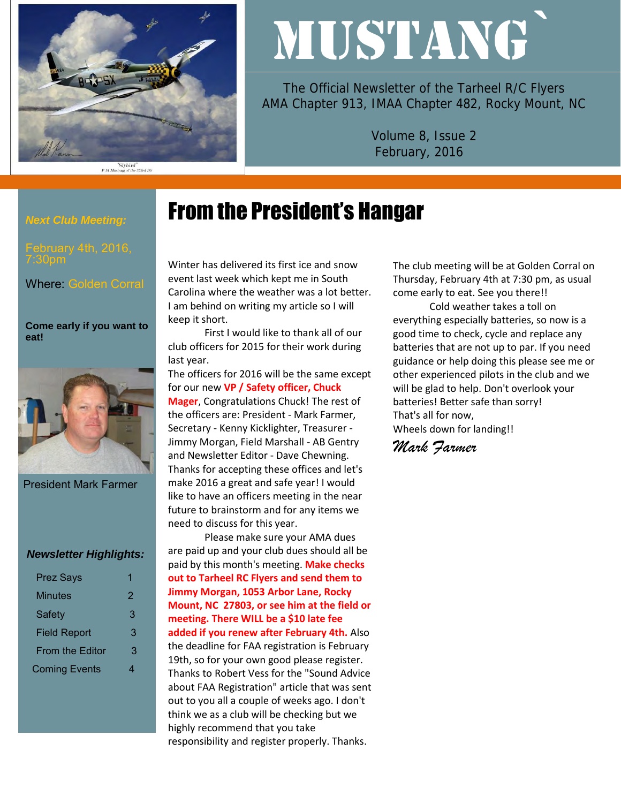

"Slybird"<br>P-51 Mustang of the 353rd FG

# MUSTANG`

The Official Newsletter of the Tarheel R/C Flyers AMA Chapter 913, IMAA Chapter 482, Rocky Mount, NC

> Volume 8, Issue 2 February, 2016

## From the President's Hangar

bruary 4th, 2016, 7:30pm

*Next Club Meeting:* 

Where: Golden Corral

#### **Come early if you want to eat!**



President Mark Farmer

#### *Newsletter Highlights:*

| <b>Prez Says</b>       | 1 |
|------------------------|---|
| Minutes                | 2 |
| <b>Safety</b>          | З |
| <b>Field Report</b>    | 3 |
| <b>From the Editor</b> | 3 |
| <b>Coming Events</b>   | 4 |

Winter has delivered its first ice and snow event last week which kept me in South Carolina where the weather was a lot better. I am behind on writing my article so I will keep it short.

First I would like to thank all of our club officers for 2015 for their work during last year.

The officers for 2016 will be the same except for our new **VP / Safety officer, Chuck Mager**, Congratulations Chuck! The rest of the officers are: President - Mark Farmer, Secretary - Kenny Kicklighter, Treasurer - Jimmy Morgan, Field Marshall - AB Gentry and Newsletter Editor - Dave Chewning. Thanks for accepting these offices and let's make 2016 a great and safe year! I would like to have an officers meeting in the near future to brainstorm and for any items we need to discuss for this year.

Please make sure your AMA dues are paid up and your club dues should all be paid by this month's meeting. **Make checks out to Tarheel RC Flyers and send them to Jimmy Morgan, 1053 Arbor Lane, Rocky Mount, NC 27803, or see him at the field or meeting. There WILL be a \$10 late fee added if you renew after February 4th.** Also the deadline for FAA registration is February 19th, so for your own good please register. Thanks to Robert Vess for the "Sound Advice about FAA Registration" article that was sent out to you all a couple of weeks ago. I don't think we as a club will be checking but we highly recommend that you take responsibility and register properly. Thanks.

The club meeting will be at Golden Corral on Thursday, February 4th at 7:30 pm, as usual come early to eat. See you there!!

Cold weather takes a toll on everything especially batteries, so now is a good time to check, cycle and replace any batteries that are not up to par. If you need guidance or help doing this please see me or other experienced pilots in the club and we will be glad to help. Don't overlook your batteries! Better safe than sorry! That's all for now, Wheels down for landing!!

*Mark Farmer*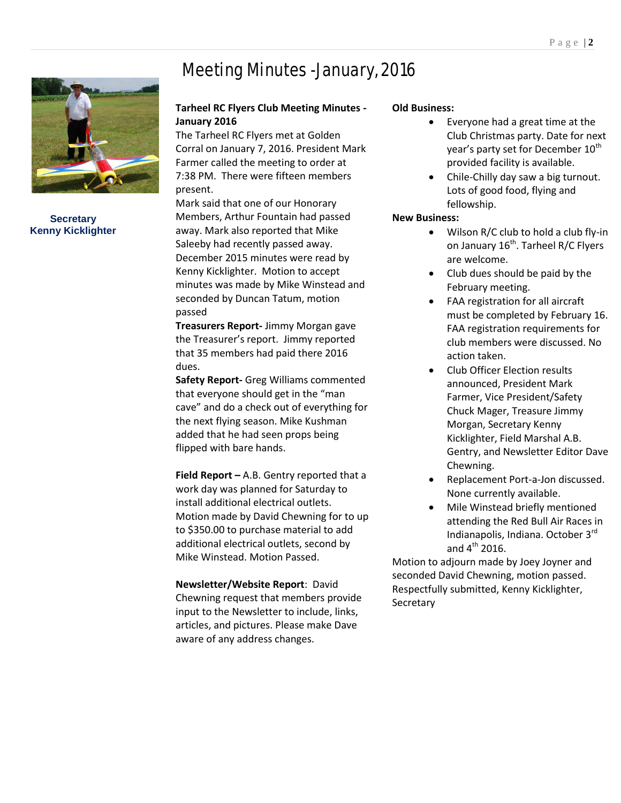

**Secretary Kenny Kicklighter**

## Meeting Minutes -January, 2016

#### **Tarheel RC Flyers Club Meeting Minutes - January 2016**

The Tarheel RC Flyers met at Golden Corral on January 7, 2016. President Mark Farmer called the meeting to order at 7:38 PM. There were fifteen members present.

Mark said that one of our Honorary Members, Arthur Fountain had passed away. Mark also reported that Mike Saleeby had recently passed away. December 2015 minutes were read by Kenny Kicklighter. Motion to accept minutes was made by Mike Winstead and seconded by Duncan Tatum, motion passed

**Treasurers Report-** Jimmy Morgan gave the Treasurer's report. Jimmy reported that 35 members had paid there 2016 dues.

**Safety Report-** Greg Williams commented that everyone should get in the "man cave" and do a check out of everything for the next flying season. Mike Kushman added that he had seen props being flipped with bare hands.

**Field Report –** A.B. Gentry reported that a work day was planned for Saturday to install additional electrical outlets. Motion made by David Chewning for to up to \$350.00 to purchase material to add additional electrical outlets, second by Mike Winstead. Motion Passed.

**Newsletter/Website Report**: David Chewning request that members provide input to the Newsletter to include, links, articles, and pictures. Please make Dave aware of any address changes.

#### **Old Business:**

- Everyone had a great time at the Club Christmas party. Date for next year's party set for December  $10<sup>th</sup>$ provided facility is available.
- Chile-Chilly day saw a big turnout. Lots of good food, flying and fellowship.

#### **New Business:**

- Wilson R/C club to hold a club fly-in on January 16<sup>th</sup>. Tarheel R/C Flyers are welcome.
- Club dues should be paid by the February meeting.
- FAA registration for all aircraft must be completed by February 16. FAA registration requirements for club members were discussed. No action taken.
- Club Officer Election results announced, President Mark Farmer, Vice President/Safety Chuck Mager, Treasure Jimmy Morgan, Secretary Kenny Kicklighter, Field Marshal A.B. Gentry, and Newsletter Editor Dave Chewning.
- Replacement Port-a-Jon discussed. None currently available.
- Mile Winstead briefly mentioned attending the Red Bull Air Races in Indianapolis, Indiana. October 3rd and  $4^{th}$  2016.

Motion to adjourn made by Joey Joyner and seconded David Chewning, motion passed. Respectfully submitted, Kenny Kicklighter, Secretary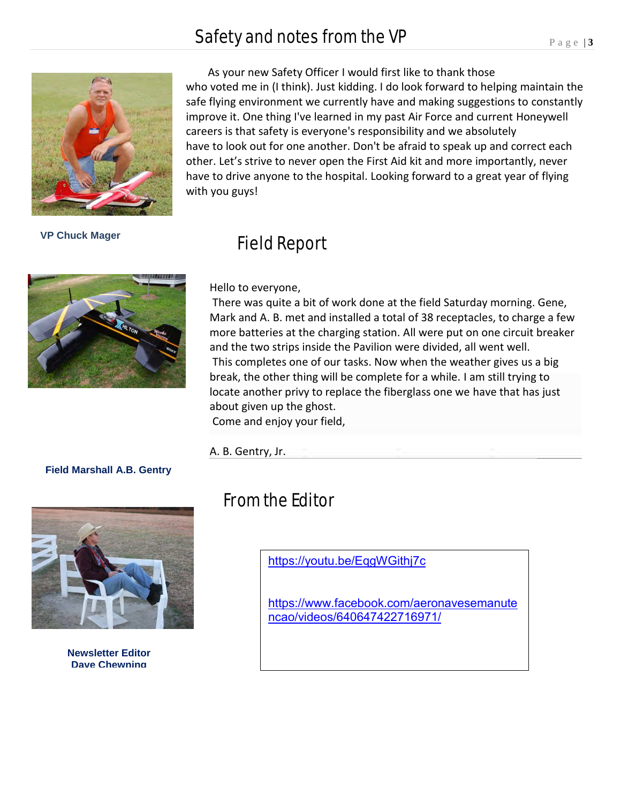## Safety and notes from the VP



 As your new Safety Officer I would first like to thank those who voted me in (I think). Just kidding. I do look forward to helping maintain the safe flying environment we currently have and making suggestions to constantly improve it. One thing I've learned in my past Air Force and current Honeywell careers is that safety is everyone's responsibility and we absolutely have to look out for one another. Don't be afraid to speak up and correct each other. Let's strive to never open the First Aid kit and more importantly, never have to drive anyone to the hospital. Looking forward to a great year of flying with you guys!

 **VP Chuck Mager** 



### Field Report

Hello to everyone,

There was quite a bit of work done at the field Saturday morning. Gene, Mark and A. B. met and installed a total of 38 receptacles, to charge a few more batteries at the charging station. All were put on one circuit breaker and the two strips inside the Pavilion were divided, all went well. This completes one of our tasks. Now when the weather gives us a big break, the other thing will be complete for a while. I am still trying to locate another privy to replace the fiberglass one we have that has just about given up the ghost. Come and enjoy your field,

#### A. B. Gentry, Jr.

#### **Field Marshall A.B. Gentry**



**Newsletter Editor Dave Chewning**

## From the Editor

<https://youtu.be/EqgWGithj7c>

[https://www.facebook.com/aeronavesemanute](https://www.facebook.com/aeronavesemanutencao/videos/640647422716971/) [ncao/videos/640647422716971/](https://www.facebook.com/aeronavesemanutencao/videos/640647422716971/)